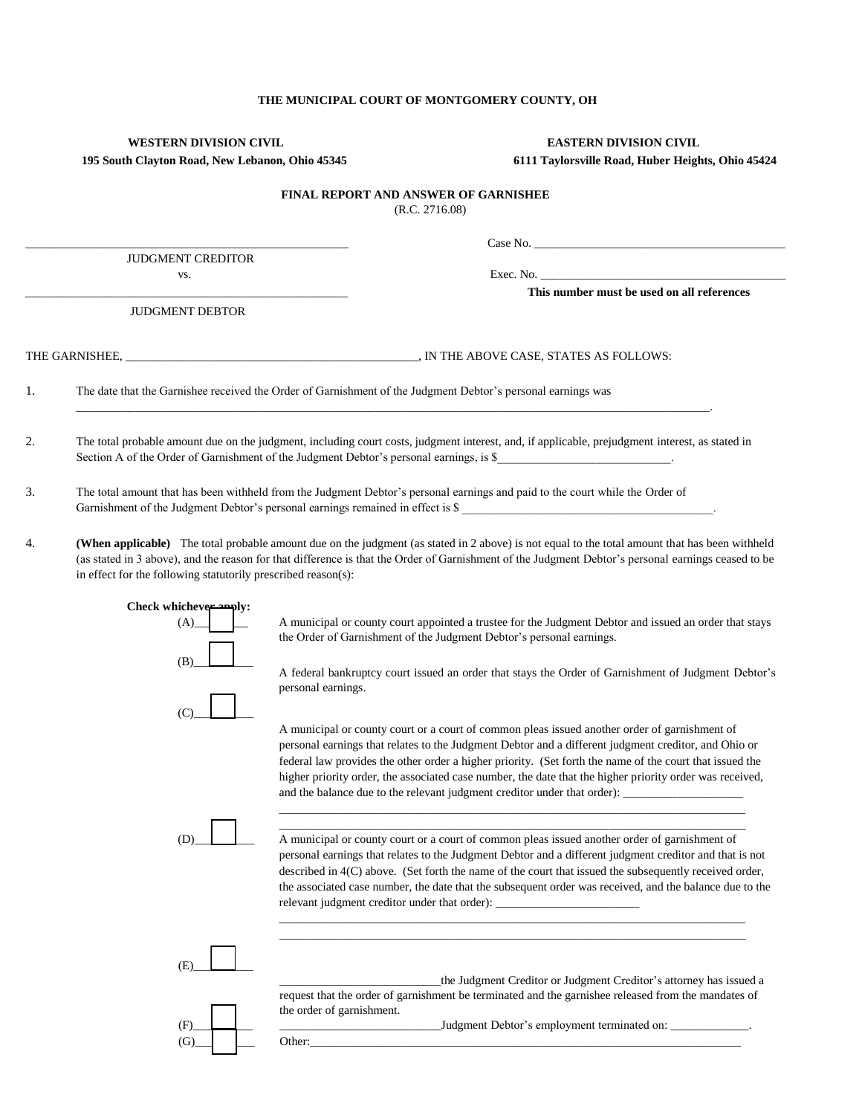## **THE MUNICIPAL COURT OF MONTGOMERY COUNTY, OH**

# **WESTERN DIVISION CIVIL EASTERN DIVISION CIVIL 195 South Clayton Road, New Lebanon, Ohio 45345 6111 Taylorsville Road, Huber Heights, Ohio 45424**

# **FINAL REPORT AND ANSWER OF GARNISHEE**

(R.C. 2716.08)

|    | JUDGMENT CREDITOR<br>VS.                                                                                                                                                                                                                                                                                                                                               | Exec. No. $\qquad \qquad$                                                                                                                                                                                                                                                                                                                                                                                                                                                                                         |  |
|----|------------------------------------------------------------------------------------------------------------------------------------------------------------------------------------------------------------------------------------------------------------------------------------------------------------------------------------------------------------------------|-------------------------------------------------------------------------------------------------------------------------------------------------------------------------------------------------------------------------------------------------------------------------------------------------------------------------------------------------------------------------------------------------------------------------------------------------------------------------------------------------------------------|--|
|    |                                                                                                                                                                                                                                                                                                                                                                        | This number must be used on all references                                                                                                                                                                                                                                                                                                                                                                                                                                                                        |  |
|    | <b>JUDGMENT DEBTOR</b>                                                                                                                                                                                                                                                                                                                                                 |                                                                                                                                                                                                                                                                                                                                                                                                                                                                                                                   |  |
|    |                                                                                                                                                                                                                                                                                                                                                                        |                                                                                                                                                                                                                                                                                                                                                                                                                                                                                                                   |  |
| 1. |                                                                                                                                                                                                                                                                                                                                                                        | The date that the Garnishee received the Order of Garnishment of the Judgment Debtor's personal earnings was                                                                                                                                                                                                                                                                                                                                                                                                      |  |
| 2. |                                                                                                                                                                                                                                                                                                                                                                        | The total probable amount due on the judgment, including court costs, judgment interest, and, if applicable, prejudgment interest, as stated in<br>Section A of the Order of Garnishment of the Judgment Debtor's personal earnings, is \$                                                                                                                                                                                                                                                                        |  |
| 3. | The total amount that has been withheld from the Judgment Debtor's personal earnings and paid to the court while the Order of<br>Garnishment of the Judgment Debtor's personal earnings remained in effect is \$                                                                                                                                                       |                                                                                                                                                                                                                                                                                                                                                                                                                                                                                                                   |  |
| 4. | (When applicable) The total probable amount due on the judgment (as stated in 2 above) is not equal to the total amount that has been withheld<br>(as stated in 3 above), and the reason for that difference is that the Order of Garnishment of the Judgment Debtor's personal earnings ceased to be<br>in effect for the following statutorily prescribed reason(s): |                                                                                                                                                                                                                                                                                                                                                                                                                                                                                                                   |  |
|    | Check whichever apply:<br>(A)<br>(B)                                                                                                                                                                                                                                                                                                                                   | A municipal or county court appointed a trustee for the Judgment Debtor and issued an order that stays<br>the Order of Garnishment of the Judgment Debtor's personal earnings.<br>A federal bankruptcy court issued an order that stays the Order of Garnishment of Judgment Debtor's<br>personal earnings.                                                                                                                                                                                                       |  |
|    | (C)                                                                                                                                                                                                                                                                                                                                                                    | A municipal or county court or a court of common pleas issued another order of garnishment of<br>personal earnings that relates to the Judgment Debtor and a different judgment creditor, and Ohio or<br>federal law provides the other order a higher priority. (Set forth the name of the court that issued the<br>higher priority order, the associated case number, the date that the higher priority order was received,                                                                                     |  |
|    | (D)                                                                                                                                                                                                                                                                                                                                                                    | A municipal or county court or a court of common pleas issued another order of garnishment of<br>personal earnings that relates to the Judgment Debtor and a different judgment creditor and that is not<br>described in 4(C) above. (Set forth the name of the court that issued the subsequently received order,<br>the associated case number, the date that the subsequent order was received, and the balance due to the<br>relevant judgment creditor under that order): __________________________________ |  |
|    | (E)                                                                                                                                                                                                                                                                                                                                                                    | the Judgment Creditor or Judgment Creditor's attorney has issued a<br>request that the order of garnishment be terminated and the garnishee released from the mandates of                                                                                                                                                                                                                                                                                                                                         |  |
|    | (F)<br>(G)                                                                                                                                                                                                                                                                                                                                                             | the order of garnishment.<br>Judgment Debtor's employment terminated on: ____________.<br>Other:                                                                                                                                                                                                                                                                                                                                                                                                                  |  |